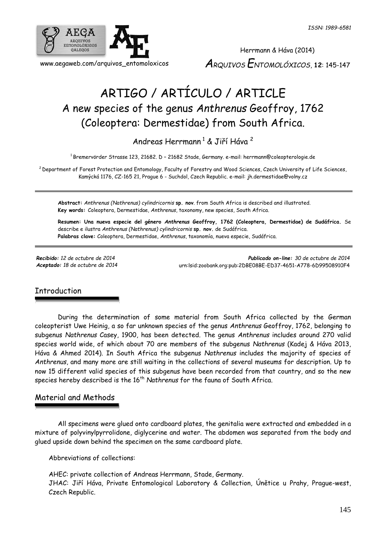

Herrmann & Háva (2014) *ARQUIVOS ENTOMOLÓXICOS*, **12**: 145-147

# ARTIGO / ARTÍCULO / ARTICLE A new species of the genus *Anthrenus* Geoffroy, 1762 (Coleoptera: Dermestidae) from South Africa.

Andreas Herrmann<sup>1</sup> & Jiří Háva<sup>2</sup>

<sup>1</sup> Bremervörder Strasse 123, 21682. D – 21682 Stade, Germany. e-mail: herrmann@coleopterologie.de

<sup>2</sup> Department of Forest Protection and Entomology, Faculty of Forestry and Wood Sciences, Czech University of Life Sciences. Kamýcká 1176, CZ-165 21, Prague 6 - Suchdol, Czech Republic. e-mail: jh.dermestidae@volny.cz

**Abstract:** *Anthrenus (Nathrenus) cylindricornis* **sp. nov**. from South Africa is described and illustrated. **Key words:** Coleoptera, Dermestidae, *Anthrenus*, taxonomy, new species, South Africa.

**Resumen: Una nueva especie del género** *Anthrenus* **Geoffroy, 1762 (Coleoptera, Dermestidae) de Sudáfrica.** Se describe e ilustra *Anthrenus (Nathrenus) cylindricornis* **sp. nov.** de Sudáfrica. **Palabras clave:** Coleoptera, Dermestidae, *Anthrenus*, taxonomía, nueva especie, Sudáfrica.

*Recibido: 12 de octubre de 2014 Publicado on-line: 30 de octubre de 2014 Aceptado: 18 de octubre de 2014* [urn:lsid:zoobank.org:pub:2DBE08BE-ED37-4651-A778-6D99508910F4](http://www.zoobank.org/urn:lsid:zoobank.org:pub:2DBE08BE-ED37-4651-A778-6D99508910F4)

#### **Introduction**

During the determination of some material from South Africa collected by the German coleopterist Uwe Heinig, a so far unknown species of the genus *Anthrenus* Geoffroy, 1762, belonging to subgenus *Nathrenus* Casey, 1900, has been detected. The genus *Anthrenus* includes around 270 valid species world wide, of which about 70 are members of the subgenus *Nathrenus* (Kadej & Háva 2013, Háva & Ahmed 2014). In South Africa the subgenus *Nathrenus* includes the majority of species of *Anthrenus*, and many more are still waiting in the collections of several museums for description. Up to now 15 different valid species of this subgenus have been recorded from that country, and so the new species hereby described is the 16<sup>th</sup> Nathrenus for the fauna of South Africa.

#### Material and Methods

All specimens were glued onto cardboard plates, the genitalia were extracted and embedded in a mixture of polyvinylpyrrolidone, diglycerine and water. The abdomen was separated from the body and glued upside down behind the specimen on the same cardboard plate.

Abbreviations of collections:

AHEC: private collection of Andreas Herrmann, Stade, Germany. JHAC: Jiří Háva, Private Entomological Laboratory & Collection, Únětice u Prahy, Prague-west, Czech Republic.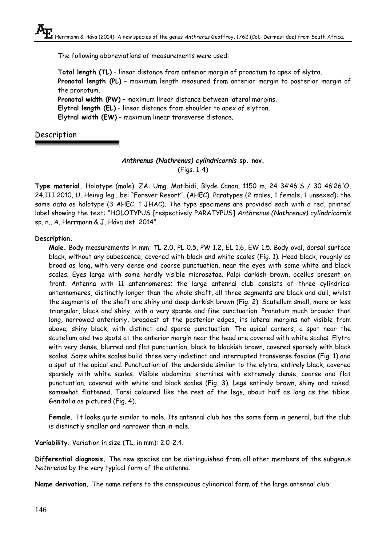The following abbreviations of measurements were used:

**Total length (TL)** – linear distance from anterior margin of pronotum to apex of elytra. **Pronotal length (PL)** – maximum length measured from anterior margin to posterior margin of the pronotum. **Pronotal width (PW)** – maximum linear distance between lateral margins. **Elytral length (EL)** – linear distance from shoulder to apex of elytron. **Elytral width (EW)** – maximum linear transverse distance.

### Description

#### *Anthrenus (Nathrenus) cylindricornis* **sp. nov.** (Figs. 1-4)

**Type material.** Holotype (male): ZA: Umg. Matibidi, Blyde Canon, 1150 m, 24 34'46''S / 30 46'26''O, 24.III.2010, U. Heinig leg., bei "Forever Resort", (AHEC). Paratypes (2 males, 1 female, 1 unsexed): the same data as holotype (3 AHEC, 1 JHAC). The type specimens are provided each with a red, printed label showing the text: "HOLOTYPUS [respectively PARATYPUS] *Anthrenus (Nathrenus) cylindricornis* sp. n., A. Herrmann & J. Háva det. 2014".

#### **Description.**

**Male.** Body measurements in mm: TL 2.0, PL 0.5, PW 1.2, EL 1.6, EW 1.5. Body oval, dorsal surface black, without any pubescence, covered with black and white scales (Fig. 1). Head black, roughly as broad as long, with very dense and coarse punctuation, near the eyes with some white and black scales. Eyes large with some hardly visible microsetae. Palpi darkish brown, ocellus present on front. Antenna with 11 antennomeres; the large antennal club consists of three cylindrical antennomeres, distinctly longer than the whole shaft, all three segments are black and dull, whilst the segments of the shaft are shiny and deep darkish brown (Fig. 2). Scutellum small, more or less triangular, black and shiny, with a very sparse and fine punctuation. Pronotum much broader than long, narrowed anteriorly, broadest at the posterior edges, its lateral margins not visible from above; shiny black, with distinct and sparse punctuation. The apical corners, a spot near the scutellum and two spots at the anterior margin near the head are covered with white scales. Elytra with very dense, blurred and flat punctuation, black to blackish brown, covered sparsely with black scales. Some white scales build three very indistinct and interrupted transverse fasciae (Fig. 1) and a spot at the apical end. Punctuation of the underside similar to the elytra, entirely black, covered sparsely with white scales. Visible abdominal sternites with extremely dense, coarse and flat punctuation, covered with white and black scales (Fig. 3). Legs entirely brown, shiny and naked, somewhat flattened. Tarsi coloured like the rest of the legs, about half as long as the tibiae. Genitalia as pictured (Fig. 4).

**Female.** It looks quite similar to male. Its antennal club has the same form in general, but the club is distinctly smaller and narrower than in male.

**Variability.** Variation in size (TL, in mm): 2.0-2.4.

**Differential diagnosis.** The new species can be distinguished from all other members of the subgenus *Nathrenus* by the very typical form of the antenna.

**Name derivation.** The name refers to the conspicuous cylindrical form of the large antennal club.